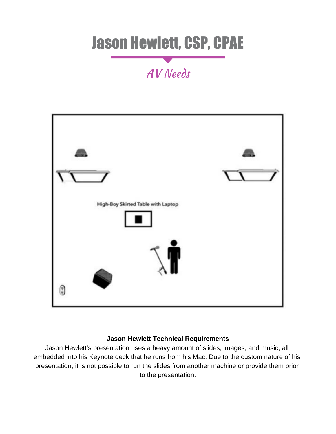## Jason Hewlett, CSP, CPAE

AV Needs



## **Jason Hewlett Technical Requirements**

Jason Hewlett's presentation uses a heavy amount of slides, images, and music, all embedded into his Keynote deck that he runs from his Mac. Due to the custom nature of his presentation, it is not possible to run the slides from another machine or provide them prior to the presentation.